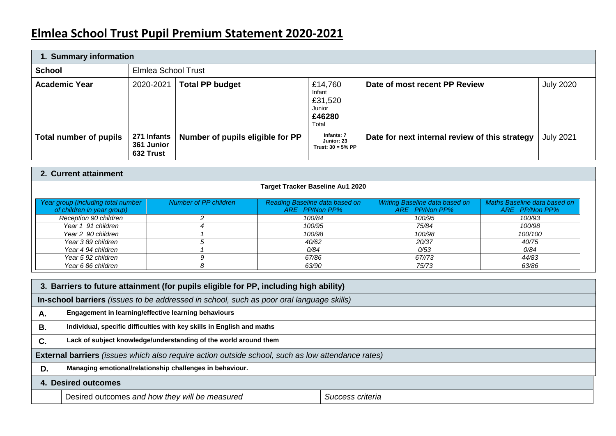# **Elmlea School Trust Pupil Premium Statement 2020-2021**

| 1. Summary information |                                        |                                  |                                                           |                                                |                  |
|------------------------|----------------------------------------|----------------------------------|-----------------------------------------------------------|------------------------------------------------|------------------|
| <b>School</b>          |                                        | Elmlea School Trust              |                                                           |                                                |                  |
| <b>Academic Year</b>   | 2020-2021                              | <b>Total PP budget</b>           | £14,760<br>Infant<br>£31,520<br>Junior<br>£46280<br>Total | Date of most recent PP Review                  | <b>July 2020</b> |
| Total number of pupils | 271 Infants<br>361 Junior<br>632 Trust | Number of pupils eligible for PP | Infants: 7<br>Junior: 23<br>Trust: $30 = 5% PP$           | Date for next internal review of this strategy | <b>July 2021</b> |

## **2. Current attainment**

|                                                                  |                       | <b>Target Tracker Baseline Au1 2020</b>                 |                                                         |                                                |
|------------------------------------------------------------------|-----------------------|---------------------------------------------------------|---------------------------------------------------------|------------------------------------------------|
| Year group (including total number<br>of children in year group) | Number of PP children | <b>Reading Baseline data based on</b><br>ARE PP/Non PP% | <b>Writing Baseline data based on</b><br>ARE PP/Non PP% | Maths Baseline data based on<br>ARE PP/Non PP% |
| Reception 90 children                                            |                       | 100/84                                                  | 100/95                                                  | 100/93                                         |
| Year 1 91 children                                               |                       | 100/95                                                  | 75/84                                                   | 100/98                                         |
| Year 2 90 children                                               |                       | 100/98                                                  | 100/98                                                  | 100/100                                        |
| Year 389 children                                                |                       | 40/62                                                   | 20/37                                                   | 40/75                                          |
| Year 4 94 children                                               |                       | 0/84                                                    | 0/53                                                    | 0/84                                           |
| Year 5 92 children                                               |                       | 67/86                                                   | 67//73                                                  | 44/83                                          |
| Year 6 86 children                                               |                       | 63/90                                                   | 75/73                                                   | 63/86                                          |

|                     | 3. Barriers to future attainment (for pupils eligible for PP, including high ability)                    |                  |  |  |
|---------------------|----------------------------------------------------------------------------------------------------------|------------------|--|--|
|                     | In-school barriers (issues to be addressed in school, such as poor oral language skills)                 |                  |  |  |
| Α.                  | Engagement in learning/effective learning behaviours                                                     |                  |  |  |
| <b>B.</b>           | Individual, specific difficulties with key skills in English and maths                                   |                  |  |  |
| C.                  | Lack of subject knowledge/understanding of the world around them                                         |                  |  |  |
|                     | <b>External barriers</b> (issues which also require action outside school, such as low attendance rates) |                  |  |  |
| D.                  | Managing emotional/relationship challenges in behaviour.                                                 |                  |  |  |
| 4. Desired outcomes |                                                                                                          |                  |  |  |
|                     | Desired outcomes and how they will be measured                                                           | Success criteria |  |  |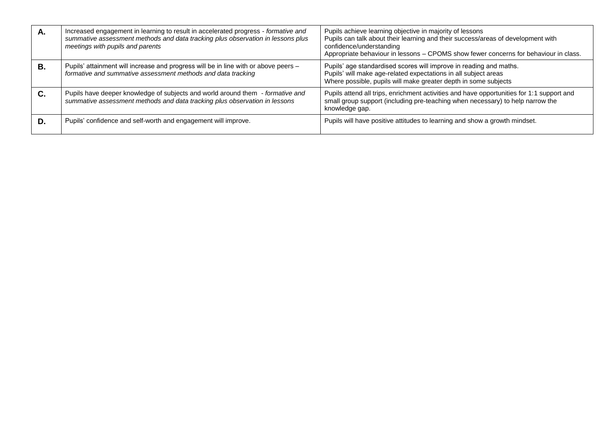| А. | Increased engagement in learning to result in accelerated progress - formative and<br>summative assessment methods and data tracking plus observation in lessons plus<br>meetings with pupils and parents | Pupils achieve learning objective in majority of lessons<br>Pupils can talk about their learning and their success/areas of development with<br>confidence/understanding<br>Appropriate behaviour in lessons - CPOMS show fewer concerns for behaviour in class. |
|----|-----------------------------------------------------------------------------------------------------------------------------------------------------------------------------------------------------------|------------------------------------------------------------------------------------------------------------------------------------------------------------------------------------------------------------------------------------------------------------------|
| В. | Pupils' attainment will increase and progress will be in line with or above peers -<br>formative and summative assessment methods and data tracking                                                       | Pupils' age standardised scores will improve in reading and maths.<br>Pupils' will make age-related expectations in all subject areas<br>Where possible, pupils will make greater depth in some subjects                                                         |
| C. | Pupils have deeper knowledge of subjects and world around them - formative and<br>summative assessment methods and data tracking plus observation in lessons                                              | Pupils attend all trips, enrichment activities and have opportunities for 1:1 support and<br>small group support (including pre-teaching when necessary) to help narrow the<br>knowledge gap.                                                                    |
| D. | Pupils' confidence and self-worth and engagement will improve.                                                                                                                                            | Pupils will have positive attitudes to learning and show a growth mindset.                                                                                                                                                                                       |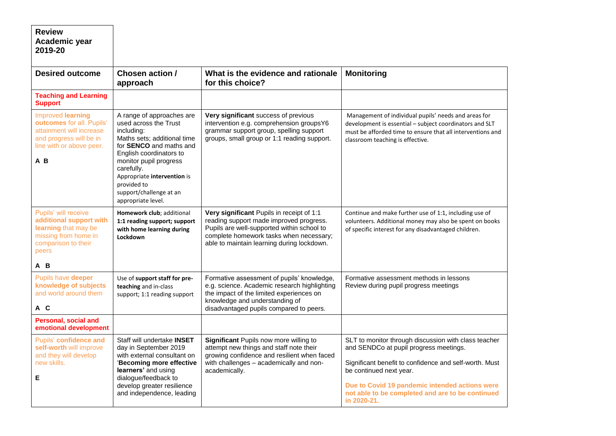| <b>Review</b><br>Academic year<br>2019-20                                                                                                       |                                                                                                                                                                                                                                                                                              |                                                                                                                                                                                                                             |                                                                                                                                                                                                                                                                                                          |
|-------------------------------------------------------------------------------------------------------------------------------------------------|----------------------------------------------------------------------------------------------------------------------------------------------------------------------------------------------------------------------------------------------------------------------------------------------|-----------------------------------------------------------------------------------------------------------------------------------------------------------------------------------------------------------------------------|----------------------------------------------------------------------------------------------------------------------------------------------------------------------------------------------------------------------------------------------------------------------------------------------------------|
| <b>Desired outcome</b>                                                                                                                          | Chosen action /<br>approach                                                                                                                                                                                                                                                                  | What is the evidence and rationale<br>for this choice?                                                                                                                                                                      | <b>Monitoring</b>                                                                                                                                                                                                                                                                                        |
| <b>Teaching and Learning</b><br><b>Support</b>                                                                                                  |                                                                                                                                                                                                                                                                                              |                                                                                                                                                                                                                             |                                                                                                                                                                                                                                                                                                          |
| <b>Improved learning</b><br>outcomes for all. Pupils'<br>attainment will increase<br>and progress will be in<br>line with or above peer.<br>A B | A range of approaches are<br>used across the Trust<br>including:<br>Maths sets; additional time<br>for SENCO and maths and<br>English coordinators to<br>monitor pupil progress<br>carefully.<br>Appropriate intervention is<br>provided to<br>support/challenge at an<br>appropriate level. | Very significant success of previous<br>intervention e.g. comprehension groupsY6<br>grammar support group, spelling support<br>groups, small group or 1:1 reading support.                                                  | Management of individual pupils' needs and areas for<br>development is essential - subject coordinators and SLT<br>must be afforded time to ensure that all interventions and<br>classroom teaching is effective.                                                                                        |
| Pupils' will receive<br>additional support with<br>learning that may be<br>missing from home in<br>comparison to their<br>peers<br>A B          | Homework club; additional<br>1:1 reading support; support<br>with home learning during<br>Lockdown                                                                                                                                                                                           | Very significant Pupils in receipt of 1:1<br>reading support made improved progress.<br>Pupils are well-supported within school to<br>complete homework tasks when necessary;<br>able to maintain learning during lockdown. | Continue and make further use of 1:1, including use of<br>volunteers. Additional money may also be spent on books<br>of specific interest for any disadvantaged children.                                                                                                                                |
| Pupils have deeper<br>knowledge of subjects<br>and world around them<br>A C                                                                     | Use of support staff for pre-<br>teaching and in-class<br>support; 1:1 reading support                                                                                                                                                                                                       | Formative assessment of pupils' knowledge,<br>e.g. science. Academic research highlighting<br>the impact of the limited experiences on<br>knowledge and understanding of<br>disadvantaged pupils compared to peers.         | Formative assessment methods in lessons<br>Review during pupil progress meetings                                                                                                                                                                                                                         |
| Personal, social and<br>emotional development                                                                                                   |                                                                                                                                                                                                                                                                                              |                                                                                                                                                                                                                             |                                                                                                                                                                                                                                                                                                          |
| Pupils' confidence and<br>self-worth will improve<br>and they will develop<br>new skills.<br>Е                                                  | Staff will undertake <b>INSET</b><br>day in September 2019<br>with external consultant on<br>'Becoming more effective<br>learners' and using<br>dialogue/feedback to<br>develop greater resilience<br>and independence, leading                                                              | Significant Pupils now more willing to<br>attempt new things and staff note their<br>growing confidence and resilient when faced<br>with challenges - academically and non-<br>academically.                                | SLT to monitor through discussion with class teacher<br>and SENDCo at pupil progress meetings.<br>Significant benefit to confidence and self-worth. Must<br>be continued next year.<br>Due to Covid 19 pandemic intended actions were<br>not able to be completed and are to be continued<br>in 2020-21. |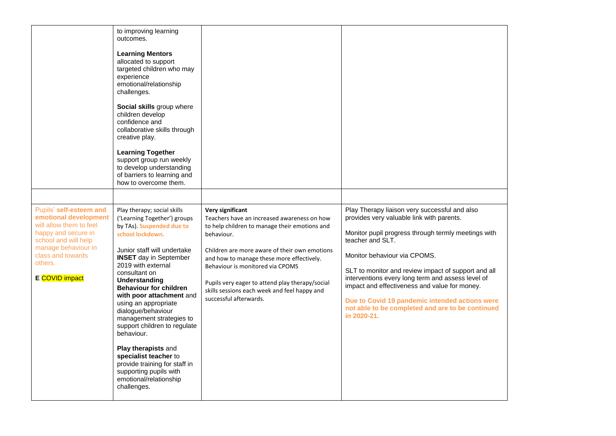|                                                                                                                                                                                                     | to improving learning<br>outcomes.<br><b>Learning Mentors</b><br>allocated to support<br>targeted children who may<br>experience<br>emotional/relationship<br>challenges.<br>Social skills group where<br>children develop<br>confidence and<br>collaborative skills through<br>creative play.<br><b>Learning Together</b><br>support group run weekly<br>to develop understanding<br>of barriers to learning and<br>how to overcome them.                                                                                                                                    |                                                                                                                                                                                                                                                                                                                                                                                                      |                                                                                                                                                                                                                                                                                                                                                                                                                                                                                         |
|-----------------------------------------------------------------------------------------------------------------------------------------------------------------------------------------------------|-------------------------------------------------------------------------------------------------------------------------------------------------------------------------------------------------------------------------------------------------------------------------------------------------------------------------------------------------------------------------------------------------------------------------------------------------------------------------------------------------------------------------------------------------------------------------------|------------------------------------------------------------------------------------------------------------------------------------------------------------------------------------------------------------------------------------------------------------------------------------------------------------------------------------------------------------------------------------------------------|-----------------------------------------------------------------------------------------------------------------------------------------------------------------------------------------------------------------------------------------------------------------------------------------------------------------------------------------------------------------------------------------------------------------------------------------------------------------------------------------|
| Pupils' self-esteem and<br>emotional development<br>will allow them to feel<br>happy and secure in<br>school and will help<br>manage behaviour in<br>class and towards<br>others.<br>E COVID impact | Play therapy; social skills<br>('Learning Together') groups<br>by TAs). Suspended due to<br>school lockdown.<br>Junior staff will undertake<br><b>INSET</b> day in September<br>2019 with external<br>consultant on<br>Understanding<br><b>Behaviour for children</b><br>with poor attachment and<br>using an appropriate<br>dialogue/behaviour<br>management strategies to<br>support children to regulate<br>behaviour.<br>Play therapists and<br>specialist teacher to<br>provide training for staff in<br>supporting pupils with<br>emotional/relationship<br>challenges. | <b>Very significant</b><br>Teachers have an increased awareness on how<br>to help children to manage their emotions and<br>behaviour.<br>Children are more aware of their own emotions<br>and how to manage these more effectively.<br>Behaviour is monitored via CPOMS<br>Pupils very eager to attend play therapy/social<br>skills sessions each week and feel happy and<br>successful afterwards. | Play Therapy liaison very successful and also<br>provides very valuable link with parents.<br>Monitor pupil progress through termly meetings with<br>teacher and SLT.<br>Monitor behaviour via CPOMS.<br>SLT to monitor and review impact of support and all<br>interventions every long term and assess level of<br>impact and effectiveness and value for money.<br>Due to Covid 19 pandemic intended actions were<br>not able to be completed and are to be continued<br>in 2020-21. |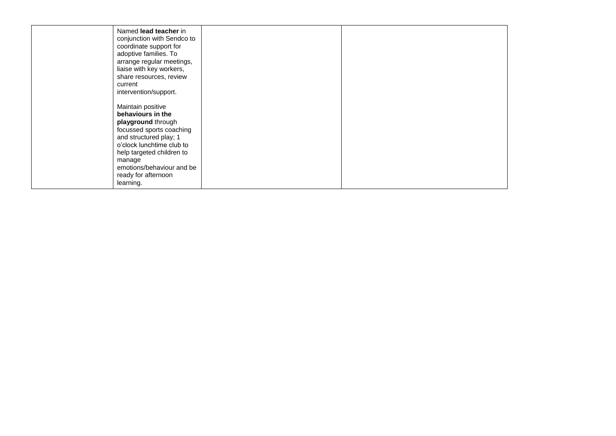| Named lead teacher in<br>conjunction with Sendco to<br>coordinate support for<br>adoptive families. To<br>arrange regular meetings,<br>liaise with key workers,<br>share resources, review<br>current<br>intervention/support.                          |  |
|---------------------------------------------------------------------------------------------------------------------------------------------------------------------------------------------------------------------------------------------------------|--|
| Maintain positive<br>behaviours in the<br>playground through<br>focussed sports coaching<br>and structured play; 1<br>o'clock lunchtime club to<br>help targeted children to<br>manage<br>emotions/behaviour and be<br>ready for afternoon<br>learning. |  |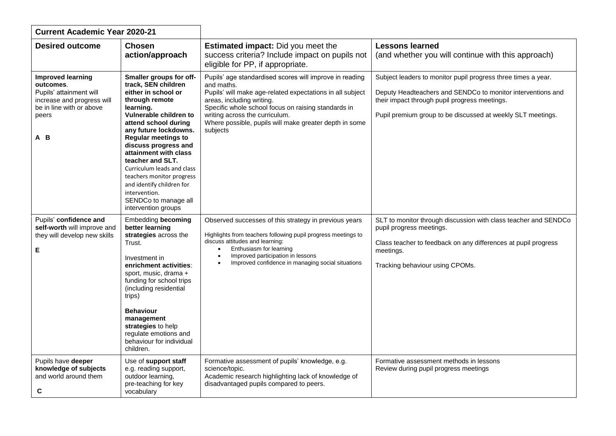| <b>Current Academic Year 2020-21</b>                                                                                                       |                                                                                                                                                                                                                                                                                                                                                                                                                                            |                                                                                                                                                                                                                                                                                                                                |                                                                                                                                                                                                                                              |
|--------------------------------------------------------------------------------------------------------------------------------------------|--------------------------------------------------------------------------------------------------------------------------------------------------------------------------------------------------------------------------------------------------------------------------------------------------------------------------------------------------------------------------------------------------------------------------------------------|--------------------------------------------------------------------------------------------------------------------------------------------------------------------------------------------------------------------------------------------------------------------------------------------------------------------------------|----------------------------------------------------------------------------------------------------------------------------------------------------------------------------------------------------------------------------------------------|
| <b>Desired outcome</b>                                                                                                                     | <b>Chosen</b><br>action/approach                                                                                                                                                                                                                                                                                                                                                                                                           | <b>Estimated impact:</b> Did you meet the<br>success criteria? Include impact on pupils not<br>eligible for PP, if appropriate.                                                                                                                                                                                                | <b>Lessons learned</b><br>(and whether you will continue with this approach)                                                                                                                                                                 |
| <b>Improved learning</b><br>outcomes.<br>Pupils' attainment will<br>increase and progress will<br>be in line with or above<br>peers<br>A B | Smaller groups for off-<br>track, SEN children<br>either in school or<br>through remote<br>learning.<br>Vulnerable children to<br>attend school during<br>any future lockdowns.<br><b>Regular meetings to</b><br>discuss progress and<br>attainment with class<br>teacher and SLT.<br>Curriculum leads and class<br>teachers monitor progress<br>and identify children for<br>intervention.<br>SENDCo to manage all<br>intervention groups | Pupils' age standardised scores will improve in reading<br>and maths.<br>Pupils' will make age-related expectations in all subject<br>areas, including writing.<br>Specific whole school focus on raising standards in<br>writing across the curriculum.<br>Where possible, pupils will make greater depth in some<br>subjects | Subject leaders to monitor pupil progress three times a year.<br>Deputy Headteachers and SENDCo to monitor interventions and<br>their impact through pupil progress meetings.<br>Pupil premium group to be discussed at weekly SLT meetings. |
| Pupils' confidence and<br>self-worth will improve and<br>they will develop new skills<br>Е                                                 | <b>Embedding becoming</b><br>better learning<br>strategies across the<br>Trust.<br>Investment in<br>enrichment activities:<br>sport, music, drama +<br>funding for school trips<br>(including residential<br>trips)<br><b>Behaviour</b><br>management<br>strategies to help<br>regulate emotions and<br>behaviour for individual<br>children.                                                                                              | Observed successes of this strategy in previous years<br>Highlights from teachers following pupil progress meetings to<br>discuss attitudes and learning:<br>Enthusiasm for learning<br>$\bullet$<br>Improved participation in lessons<br>Improved confidence in managing social situations                                    | SLT to monitor through discussion with class teacher and SENDCo<br>pupil progress meetings.<br>Class teacher to feedback on any differences at pupil progress<br>meetings.<br>Tracking behaviour using CPOMs.                                |
| Pupils have deeper<br>knowledge of subjects<br>and world around them<br>C                                                                  | Use of support staff<br>e.g. reading support,<br>outdoor learning,<br>pre-teaching for key<br>vocabulary                                                                                                                                                                                                                                                                                                                                   | Formative assessment of pupils' knowledge, e.g.<br>science/topic.<br>Academic research highlighting lack of knowledge of<br>disadvantaged pupils compared to peers.                                                                                                                                                            | Formative assessment methods in lessons<br>Review during pupil progress meetings                                                                                                                                                             |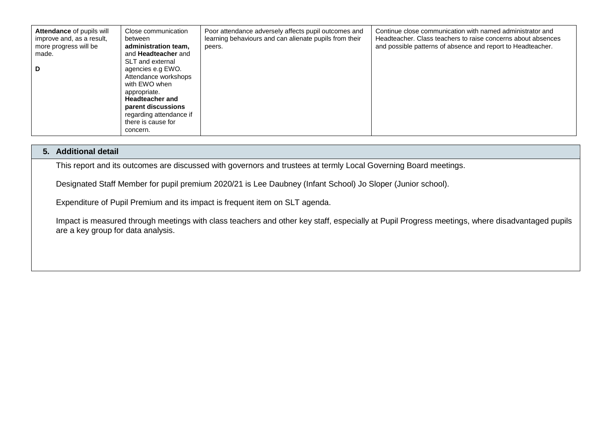| Attendance of pupils will<br>improve and, as a result,<br>more progress will be<br>made.<br>D | Close communication<br>between<br>administration team,<br>and <b>Headteacher</b> and<br>SLT and external<br>agencies e.g EWO.<br>Attendance workshops<br>with EWO when<br>appropriate.<br><b>Headteacher and</b><br>parent discussions<br>regarding attendance if<br>there is cause for<br>concern. | Poor attendance adversely affects pupil outcomes and<br>learning behaviours and can alienate pupils from their<br>peers. | Continue close communication with named administrator and<br>Headteacher. Class teachers to raise concerns about absences<br>and possible patterns of absence and report to Headteacher. |
|-----------------------------------------------------------------------------------------------|-----------------------------------------------------------------------------------------------------------------------------------------------------------------------------------------------------------------------------------------------------------------------------------------------------|--------------------------------------------------------------------------------------------------------------------------|------------------------------------------------------------------------------------------------------------------------------------------------------------------------------------------|
|-----------------------------------------------------------------------------------------------|-----------------------------------------------------------------------------------------------------------------------------------------------------------------------------------------------------------------------------------------------------------------------------------------------------|--------------------------------------------------------------------------------------------------------------------------|------------------------------------------------------------------------------------------------------------------------------------------------------------------------------------------|

### **5. Additional detail**

This report and its outcomes are discussed with governors and trustees at termly Local Governing Board meetings.

Designated Staff Member for pupil premium 2020/21 is Lee Daubney (Infant School) Jo Sloper (Junior school).

Expenditure of Pupil Premium and its impact is frequent item on SLT agenda.

Impact is measured through meetings with class teachers and other key staff, especially at Pupil Progress meetings, where disadvantaged pupils are a key group for data analysis.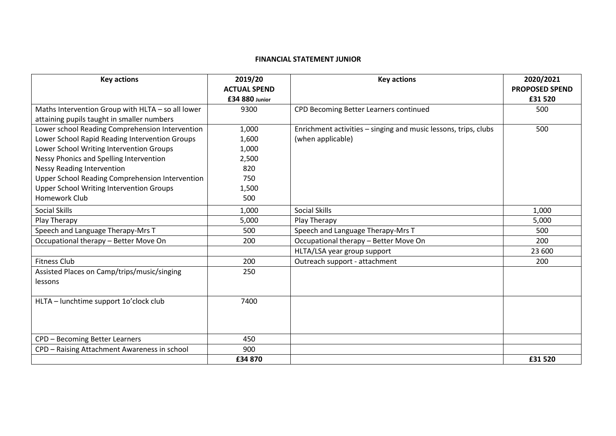#### **FINANCIAL STATEMENT JUNIOR**

| <b>Key actions</b>                                | 2019/20             | <b>Key actions</b>                                              | 2020/2021             |
|---------------------------------------------------|---------------------|-----------------------------------------------------------------|-----------------------|
|                                                   | <b>ACTUAL SPEND</b> |                                                                 | <b>PROPOSED SPEND</b> |
|                                                   | £34 880 Junior      |                                                                 | £31 520               |
| Maths Intervention Group with HLTA - so all lower | 9300                | CPD Becoming Better Learners continued                          | 500                   |
| attaining pupils taught in smaller numbers        |                     |                                                                 |                       |
| Lower school Reading Comprehension Intervention   | 1,000               | Enrichment activities – singing and music lessons, trips, clubs | 500                   |
| Lower School Rapid Reading Intervention Groups    | 1,600               | (when applicable)                                               |                       |
| Lower School Writing Intervention Groups          | 1,000               |                                                                 |                       |
| Nessy Phonics and Spelling Intervention           | 2,500               |                                                                 |                       |
| <b>Nessy Reading Intervention</b>                 | 820                 |                                                                 |                       |
| Upper School Reading Comprehension Intervention   | 750                 |                                                                 |                       |
| <b>Upper School Writing Intervention Groups</b>   | 1,500               |                                                                 |                       |
| Homework Club                                     | 500                 |                                                                 |                       |
| <b>Social Skills</b>                              | 1,000               | <b>Social Skills</b>                                            | 1,000                 |
| Play Therapy                                      | 5,000               | Play Therapy                                                    | 5,000                 |
| Speech and Language Therapy-Mrs T                 | 500                 | Speech and Language Therapy-Mrs T                               | 500                   |
| Occupational therapy - Better Move On             | 200                 | Occupational therapy - Better Move On                           | 200                   |
|                                                   |                     | HLTA/LSA year group support                                     | 23 600                |
| <b>Fitness Club</b>                               | 200                 | Outreach support - attachment                                   | 200                   |
| Assisted Places on Camp/trips/music/singing       | 250                 |                                                                 |                       |
| lessons                                           |                     |                                                                 |                       |
|                                                   |                     |                                                                 |                       |
| HLTA - lunchtime support 1o'clock club            | 7400                |                                                                 |                       |
|                                                   |                     |                                                                 |                       |
|                                                   |                     |                                                                 |                       |
|                                                   |                     |                                                                 |                       |
| CPD - Becoming Better Learners                    | 450                 |                                                                 |                       |
| CPD - Raising Attachment Awareness in school      | 900                 |                                                                 |                       |
|                                                   | £34 870             |                                                                 | £31 520               |